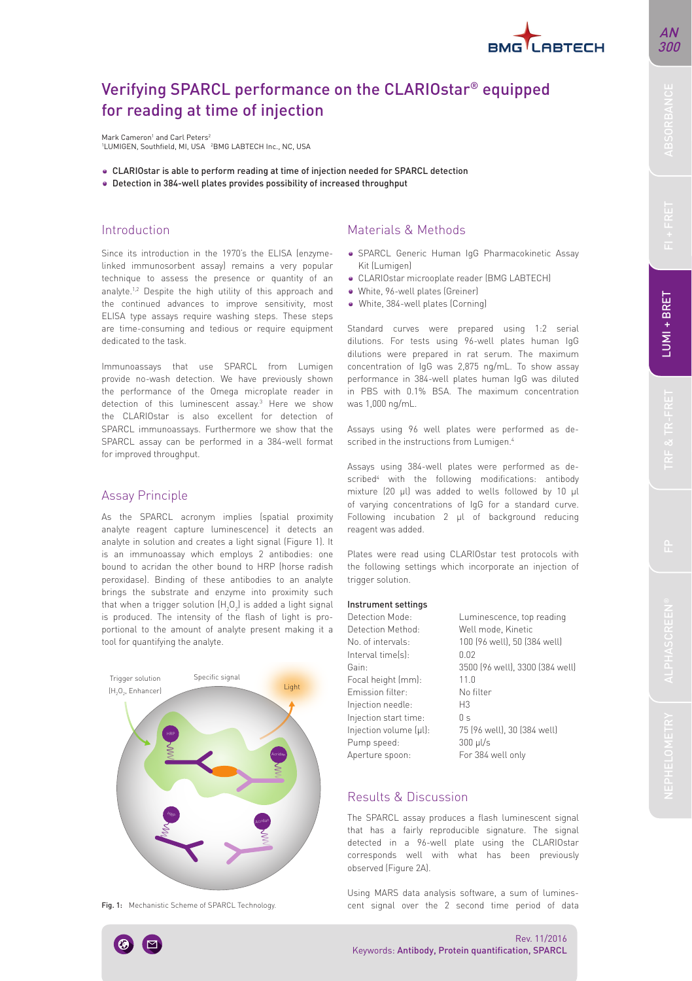

# Verifying SPARCL performance on the CLARIOstar® equipped for reading at time of injection

Mark Cameron<sup>1</sup> and Carl Peters<sup>2</sup> <sup>1</sup>LUMIGEN, Southfield, MI, USA <sup>2</sup>BMG LABTECH Inc., NC, USA

- CLARIOstar is able to perform reading at time of injection needed for SPARCL detection
- Detection in 384-well plates provides possibility of increased throughput

### Introduction

Since its introduction in the 1970's the ELISA (enzymelinked immunosorbent assay) remains a very popular technique to assess the presence or quantity of an analyte.1,2 Despite the high utility of this approach and the continued advances to improve sensitivity, most ELISA type assays require washing steps. These steps are time-consuming and tedious or require equipment dedicated to the task.

Immunoassays that use SPARCL from Lumigen provide no-wash detection. We have previously shown the performance of the Omega microplate reader in detection of this luminescent assay.<sup>3</sup> Here we show the CLARIOstar is also excellent for detection of SPARCL immunoassays. Furthermore we show that the SPARCL assay can be performed in a 384-well format for improved throughput.

# Assay Principle

As the SPARCL acronym implies (spatial proximity analyte reagent capture luminescence) it detects an analyte in solution and creates a light signal (Figure 1). It is an immunoassay which employs 2 antibodies: one bound to acridan the other bound to HRP (horse radish peroxidase). Binding of these antibodies to an analyte brings the substrate and enzyme into proximity such that when a trigger solution  $(H_2O_2)$  is added a light signal is produced. The intensity of the flash of light is proportional to the amount of analyte present making it a tool for quantifying the analyte.



Fig. 1: Mechanistic Scheme of SPARCL Technology.

## Materials & Methods

- SPARCL Generic Human IgG Pharmacokinetic Assay Kit (Lumigen)
- CLARIOstar microoplate reader (BMG LABTECH)
- White, 96-well plates (Greiner)
- White, 384-well plates (Corning)

Standard curves were prepared using 1:2 serial dilutions. For tests using 96-well plates human IgG dilutions were prepared in rat serum. The maximum concentration of IgG was 2,875 ng/mL. To show assay performance in 384-well plates human IgG was diluted in PBS with 0.1% BSA. The maximum concentration was 1,000 ng/mL.

Assays using 96 well plates were performed as described in the instructions from Lumigen.<sup>4</sup>

Assays using 384-well plates were performed as described<sup>4</sup> with the following modifications: antibody mixture (20 µl) was added to wells followed by 10 µl of varying concentrations of IgG for a standard curve. Following incubation 2 µl of background reducing reagent was added.

Plates were read using CLARIOstar test protocols with the following settings which incorporate an injection of trigger solution.

#### Instrument settings

Detection Mode: Luminescence, top reading Detection Method: Well mode, Kinetic No. of intervals: 100 (96 well), 50 (384 well) Interval time(s): 0.02 Gain: 3500 (96 well), 3300 (384 well) Focal height (mm): 11.0 Emission filter: No filter Injection needle: H3 Injection start time: 0 s  $Injection volume (µl): 75 (96 well), 30 (384 well)$ Pump speed: 300 µl/s Aperture spoon: For 384 well only

# Results & Discussion

The SPARCL assay produces a flash luminescent signal that has a fairly reproducible signature. The signal detected in a 96-well plate using the CLARIOstar corresponds well with what has been previously observed (Figure 2A).

Using MARS data analysis software, a sum of luminescent signal over the 2 second time period of data